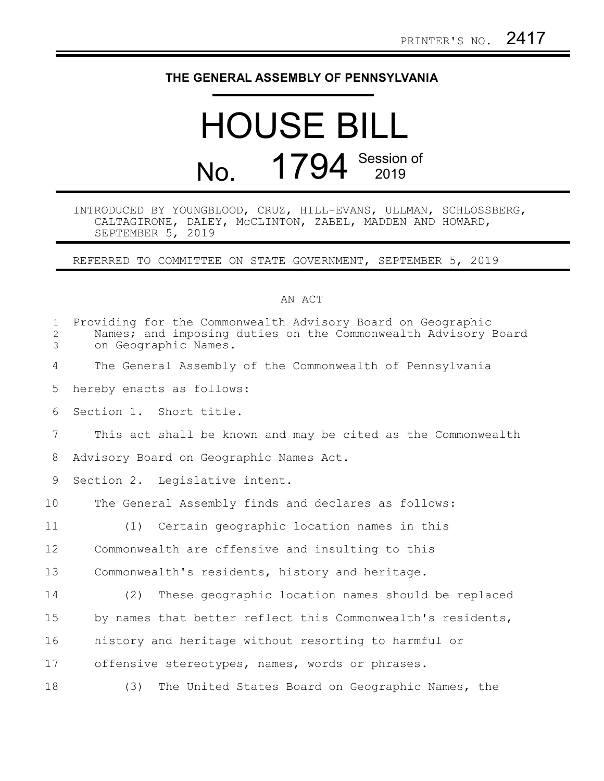## **THE GENERAL ASSEMBLY OF PENNSYLVANIA**

## HOUSE BILL No. 1794 Session of

## INTRODUCED BY YOUNGBLOOD, CRUZ, HILL-EVANS, ULLMAN, SCHLOSSBERG, CALTAGIRONE, DALEY, McCLINTON, ZABEL, MADDEN AND HOWARD, SEPTEMBER 5, 2019

REFERRED TO COMMITTEE ON STATE GOVERNMENT, SEPTEMBER 5, 2019

## AN ACT

| $\mathbf{1}$<br>$\overline{2}$<br>3 | Providing for the Commonwealth Advisory Board on Geographic<br>Names; and imposing duties on the Commonwealth Advisory Board<br>on Geographic Names. |
|-------------------------------------|------------------------------------------------------------------------------------------------------------------------------------------------------|
| 4                                   | The General Assembly of the Commonwealth of Pennsylvania                                                                                             |
| 5                                   | hereby enacts as follows:                                                                                                                            |
| 6                                   | Section 1. Short title.                                                                                                                              |
| 7                                   | This act shall be known and may be cited as the Commonwealth                                                                                         |
| 8                                   | Advisory Board on Geographic Names Act.                                                                                                              |
| 9                                   | Section 2. Legislative intent.                                                                                                                       |
| 10                                  | The General Assembly finds and declares as follows:                                                                                                  |
| 11                                  | Certain geographic location names in this<br>(1)                                                                                                     |
| 12                                  | Commonwealth are offensive and insulting to this                                                                                                     |
| 13                                  | Commonwealth's residents, history and heritage.                                                                                                      |
| 14                                  | (2)<br>These geographic location names should be replaced                                                                                            |
| 15                                  | by names that better reflect this Commonwealth's residents,                                                                                          |
| 16                                  | history and heritage without resorting to harmful or                                                                                                 |
| 17                                  | offensive stereotypes, names, words or phrases.                                                                                                      |
| 18                                  | The United States Board on Geographic Names, the<br>(3)                                                                                              |
|                                     |                                                                                                                                                      |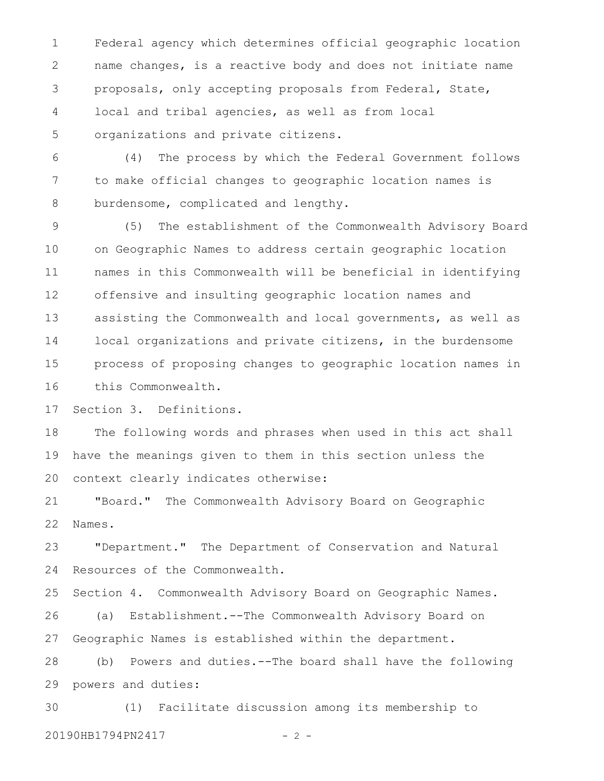Federal agency which determines official geographic location name changes, is a reactive body and does not initiate name proposals, only accepting proposals from Federal, State, local and tribal agencies, as well as from local organizations and private citizens. 1 2 3 4 5

(4) The process by which the Federal Government follows to make official changes to geographic location names is burdensome, complicated and lengthy. 6 7 8

(5) The establishment of the Commonwealth Advisory Board on Geographic Names to address certain geographic location names in this Commonwealth will be beneficial in identifying offensive and insulting geographic location names and assisting the Commonwealth and local governments, as well as local organizations and private citizens, in the burdensome process of proposing changes to geographic location names in this Commonwealth. 9 10 11 12 13 14 15 16

Section 3. Definitions. 17

The following words and phrases when used in this act shall have the meanings given to them in this section unless the context clearly indicates otherwise: 18 19 20

"Board." The Commonwealth Advisory Board on Geographic Names. 21 22

"Department." The Department of Conservation and Natural Resources of the Commonwealth. 23 24

Section 4. Commonwealth Advisory Board on Geographic Names. (a) Establishment.--The Commonwealth Advisory Board on Geographic Names is established within the department. 25 26 27

(b) Powers and duties.--The board shall have the following powers and duties: 28 29

(1) Facilitate discussion among its membership to 20190HB1794PN2417 - 2 -30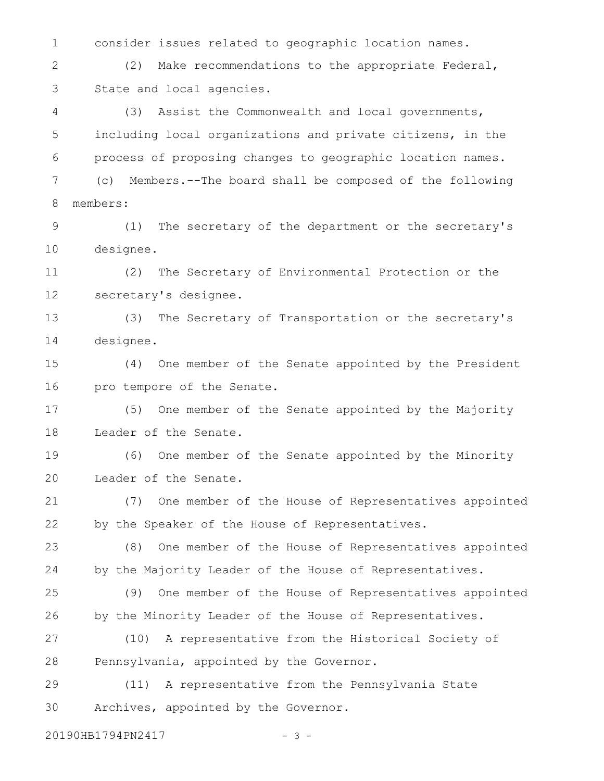consider issues related to geographic location names. (2) Make recommendations to the appropriate Federal, State and local agencies. (3) Assist the Commonwealth and local governments, including local organizations and private citizens, in the process of proposing changes to geographic location names. (c) Members.--The board shall be composed of the following members: (1) The secretary of the department or the secretary's designee. (2) The Secretary of Environmental Protection or the secretary's designee. (3) The Secretary of Transportation or the secretary's designee. (4) One member of the Senate appointed by the President pro tempore of the Senate. (5) One member of the Senate appointed by the Majority Leader of the Senate. (6) One member of the Senate appointed by the Minority Leader of the Senate. (7) One member of the House of Representatives appointed by the Speaker of the House of Representatives. (8) One member of the House of Representatives appointed by the Majority Leader of the House of Representatives. (9) One member of the House of Representatives appointed by the Minority Leader of the House of Representatives. (10) A representative from the Historical Society of Pennsylvania, appointed by the Governor. (11) A representative from the Pennsylvania State Archives, appointed by the Governor. 1 2 3 4 5 6 7 8 9 10 11 12 13 14 15 16 17 18 19 20 21 22 23 24 25 26 27 28 29 30

20190HB1794PN2417 - 3 -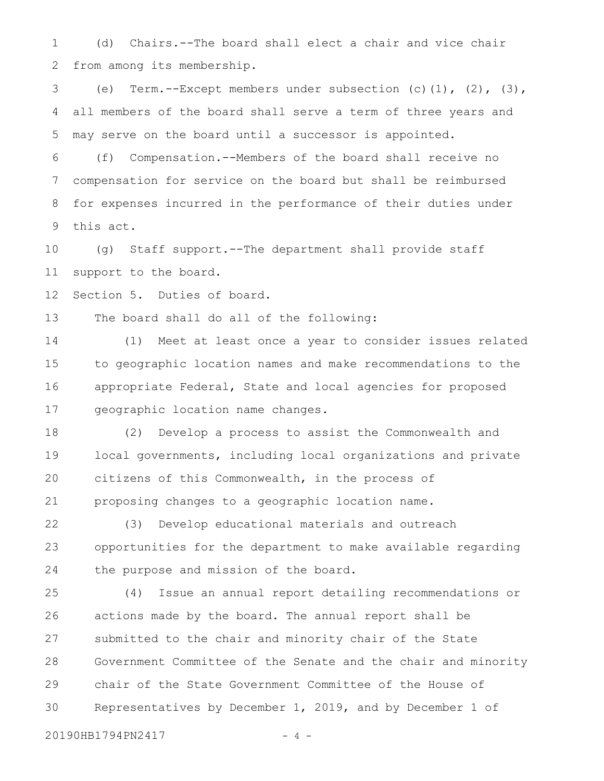(d) Chairs.--The board shall elect a chair and vice chair from among its membership. 1 2

(e) Term.--Except members under subsection  $(c)$   $(1)$ ,  $(2)$ ,  $(3)$ , all members of the board shall serve a term of three years and may serve on the board until a successor is appointed. 3 4 5

(f) Compensation.--Members of the board shall receive no compensation for service on the board but shall be reimbursed for expenses incurred in the performance of their duties under this act. 6 7 8 9

(g) Staff support.--The department shall provide staff support to the board. 10 11

Section 5. Duties of board. 12

The board shall do all of the following: 13

(1) Meet at least once a year to consider issues related to geographic location names and make recommendations to the appropriate Federal, State and local agencies for proposed geographic location name changes. 14 15 16 17

(2) Develop a process to assist the Commonwealth and local governments, including local organizations and private citizens of this Commonwealth, in the process of proposing changes to a geographic location name. 18 19 20 21

(3) Develop educational materials and outreach opportunities for the department to make available regarding the purpose and mission of the board. 22 23 24

(4) Issue an annual report detailing recommendations or actions made by the board. The annual report shall be submitted to the chair and minority chair of the State Government Committee of the Senate and the chair and minority chair of the State Government Committee of the House of Representatives by December 1, 2019, and by December 1 of 25 26 27 28 29 30

20190HB1794PN2417 - 4 -